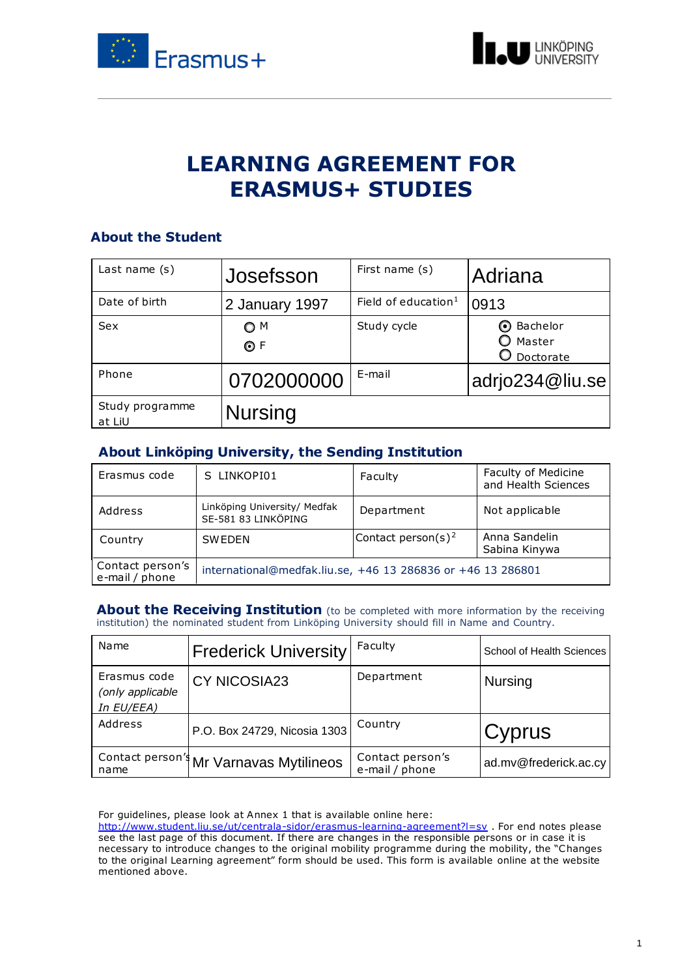



# **LEARNING AGREEMENT FOR ERASMUS+ STUDIES**

## **About the Student**

| Last name $(s)$           | Josefsson        | First name (s)                  | Adriana                                  |
|---------------------------|------------------|---------------------------------|------------------------------------------|
| Date of birth             | 2 January 1997   | Field of education <sup>1</sup> | 0913                                     |
| <b>Sex</b>                | O M<br>$\odot$ F | Study cycle                     | <b>⊙</b> Bachelor<br>Master<br>Doctorate |
| Phone                     | 0702000000       | E-mail                          | adrio234@liu.se                          |
| Study programme<br>at LiU | <b>Nursing</b>   |                                 |                                          |

### **About Linköping University, the Sending Institution**

| Erasmus code                       | S LINKOPI01                                                 | Faculty                        | Faculty of Medicine<br>and Health Sciences |
|------------------------------------|-------------------------------------------------------------|--------------------------------|--------------------------------------------|
| Address                            | Linköping University/ Medfak<br>SE-581 83 LINKÖPING         | Department                     | Not applicable                             |
| Country                            | <b>SWEDEN</b>                                               | Contact person(s) <sup>2</sup> | Anna Sandelin<br>Sabina Kinywa             |
| Contact person's<br>e-mail / phone | international@medfak.liu.se, +46 13 286836 or +46 13 286801 |                                |                                            |

**About the Receiving Institution** (to be completed with more information by the receiving institution) the nominated student from Linköping University should fill in Name and Country.

| Name                                           | <b>Frederick University</b>            | Faculty                            | School of Health Sciences |
|------------------------------------------------|----------------------------------------|------------------------------------|---------------------------|
| Erasmus code<br>(only applicable<br>In EU/EEA) | <b>CY NICOSIA23</b>                    | Department                         | <b>Nursing</b>            |
| Address                                        | P.O. Box 24729, Nicosia 1303           | Country                            | Cyprus                    |
| name                                           | Contact person' Mr Varnavas Mytilineos | Contact person's<br>e-mail / phone | ad.mv@frederick.ac.cy     |

For guidelines, please look at Annex 1 that is available online here:

<http://www.student.liu.se/ut/centrala-sidor/erasmus-learning-agreement?l=sv> . For end notes please see the last page of this document. If there are changes in the responsible persons or in case it is necessary to introduce changes to the original mobility programme during the mobility, the "Changes to the original Learning agreement" form should be used. This form is available online at the website mentioned above.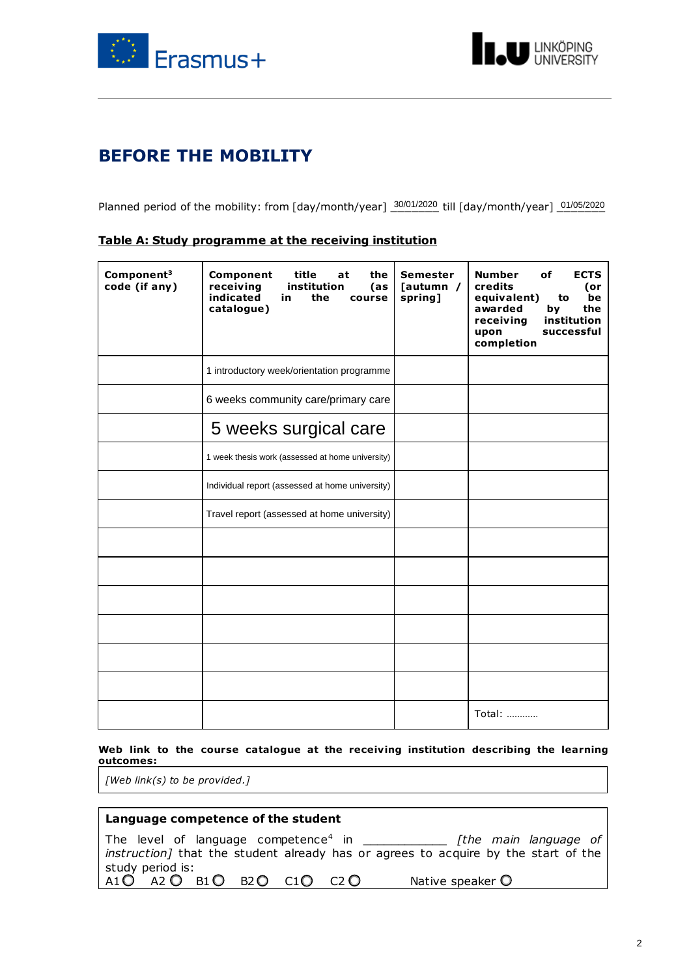



# **BEFORE THE MOBILITY**

Planned period of the mobility: from [day/month/year]  $\frac{30/01/2020}{2}$  till [day/month/year]  $\frac{01/05/2020}{2}$ 

| Component <sup>3</sup><br>code (if any) | Component<br>title<br>the<br>at<br>receiving<br>institution<br>(as<br>indicated<br>in.<br>the<br>course<br>catalogue) | <b>Semester</b><br>[autumn /<br>spring] | <b>Number</b><br>οf<br><b>ECTS</b><br><b>credits</b><br>(or<br>equivalent)<br>be<br>to<br>awarded<br>by<br>the<br>receiving<br>institution<br>successful<br>upon<br>completion |
|-----------------------------------------|-----------------------------------------------------------------------------------------------------------------------|-----------------------------------------|--------------------------------------------------------------------------------------------------------------------------------------------------------------------------------|
|                                         | 1 introductory week/orientation programme                                                                             |                                         |                                                                                                                                                                                |
|                                         | 6 weeks community care/primary care                                                                                   |                                         |                                                                                                                                                                                |
|                                         | 5 weeks surgical care                                                                                                 |                                         |                                                                                                                                                                                |
|                                         | 1 week thesis work (assessed at home university)                                                                      |                                         |                                                                                                                                                                                |
|                                         | Individual report (assessed at home university)                                                                       |                                         |                                                                                                                                                                                |
|                                         | Travel report (assessed at home university)                                                                           |                                         |                                                                                                                                                                                |
|                                         |                                                                                                                       |                                         |                                                                                                                                                                                |
|                                         |                                                                                                                       |                                         |                                                                                                                                                                                |
|                                         |                                                                                                                       |                                         |                                                                                                                                                                                |
|                                         |                                                                                                                       |                                         |                                                                                                                                                                                |
|                                         |                                                                                                                       |                                         |                                                                                                                                                                                |
|                                         |                                                                                                                       |                                         |                                                                                                                                                                                |
|                                         |                                                                                                                       |                                         | Total:                                                                                                                                                                         |

#### **Table A: Study programme at the receiving institution**

#### **Web link to the course catalogue at the receiving institution describing the learning outcomes:**

*[Web link(s) to be provided.]*

#### **Language competence of the student**

The level of language competence<sup>4</sup> in \_\_\_\_\_\_\_\_\_\_\_\_ *[the main language of instruction]* that the student already has or agrees to acquire by the start of the study period is:  $A1O$   $A2O$   $B1O$   $B2O$   $C1O$   $C2O$  Native speaker  $O$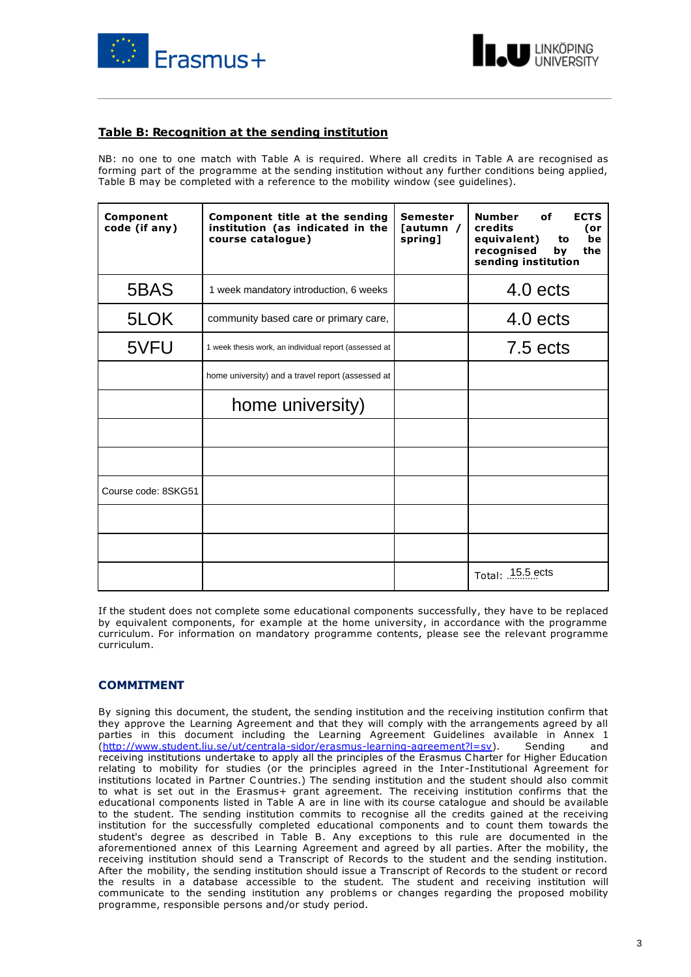



#### **Table B: Recognition at the sending institution**

NB: no one to one match with Table A is required. Where all credits in Table A are recognised as forming part of the programme at the sending institution without any further conditions being applied, Table B may be completed with a reference to the mobility window (see guidelines).

| Component<br>code (if any) | Component title at the sending<br>institution (as indicated in the<br>course catalogue) | <b>Semester</b><br>Tautumn /<br>spring] | <b>Number</b><br>οf<br><b>ECTS</b><br>credits<br>(or<br>equivalent)<br>be<br>to<br>recognised<br>the<br>by<br>sending institution |
|----------------------------|-----------------------------------------------------------------------------------------|-----------------------------------------|-----------------------------------------------------------------------------------------------------------------------------------|
| 5BAS                       | 1 week mandatory introduction, 6 weeks                                                  |                                         | 4.0 ects                                                                                                                          |
| 5LOK                       | community based care or primary care,                                                   |                                         | $4.0$ ects                                                                                                                        |
| 5VFU                       | 1 week thesis work, an individual report (assessed at                                   |                                         | $7.5$ ects                                                                                                                        |
|                            | home university) and a travel report (assessed at                                       |                                         |                                                                                                                                   |
|                            | home university)                                                                        |                                         |                                                                                                                                   |
|                            |                                                                                         |                                         |                                                                                                                                   |
|                            |                                                                                         |                                         |                                                                                                                                   |
| Course code: 8SKG51        |                                                                                         |                                         |                                                                                                                                   |
|                            |                                                                                         |                                         |                                                                                                                                   |
|                            |                                                                                         |                                         |                                                                                                                                   |
|                            |                                                                                         |                                         | Total: 15.5 ects                                                                                                                  |

If the student does not complete some educational components successfully, they have to be replaced by equivalent components, for example at the home university, in accordance with the programme curriculum. For information on mandatory programme contents, please see the relevant programme curriculum.

#### **COMMITMENT**

By signing this document, the student, the sending institution and the receiving institution confirm that they approve the Learning Agreement and that they will comply with the arrangements agreed by all parties in this document including the Learning Agreement Guidelines available in Annex 1 [\(http://www.student.liu.se/ut/centrala-sidor/erasmus-learning-agreement?l=sv\)](http://www.student.liu.se/ut/centrala-sidor/erasmus-learning-agreement?l=sv). Sending and receiving institutions undertake to apply all the principles of the Erasmus Charter for Higher Education relating to mobility for studies (or the principles agreed in the Inter -Institutional Agreement for institutions located in Partner C ountries.) The sending institution and the student should also commit to what is set out in the Erasmus+ grant agreement. The receiving institution confirms that the educational components listed in Table A are in line with its course catalogue and should be available to the student. The sending institution commits to recognise all the credits gained at the receiving institution for the successfully completed educational components and to count them towards the student's degree as described in Table B. Any exceptions to this rule are documented in the aforementioned annex of this Learning Agreement and agreed by all parties. After the mobility, the receiving institution should send a Transcript of Records to the student and the sending institution. After the mobility, the sending institution should issue a Transcript of Records to the student or record the results in a database accessible to the student. The student and receiving institution will communicate to the sending institution any problems or changes regarding the proposed mobility programme, responsible persons and/or study period.